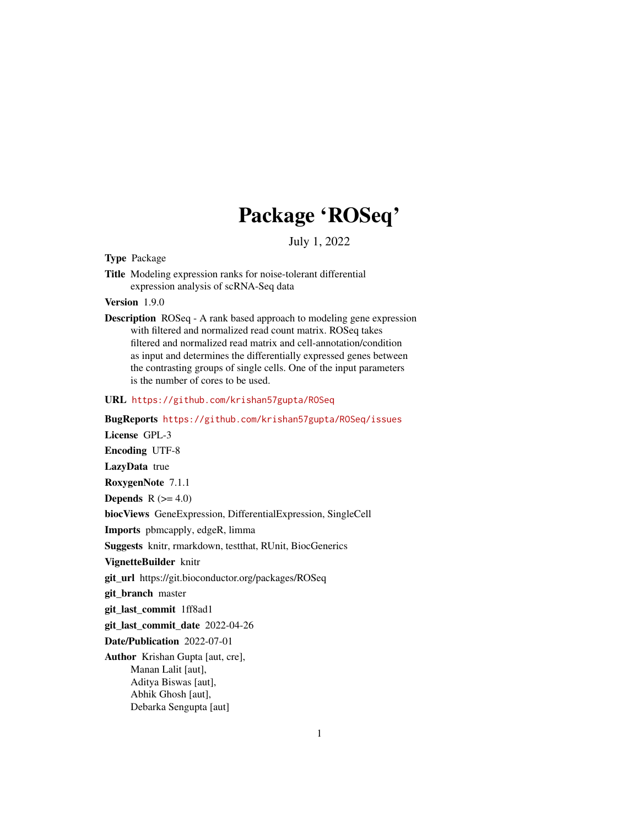# Package 'ROSeq'

July 1, 2022

# Type Package

Title Modeling expression ranks for noise-tolerant differential expression analysis of scRNA-Seq data

Version 1.9.0

Description ROSeq - A rank based approach to modeling gene expression with filtered and normalized read count matrix. ROSeq takes filtered and normalized read matrix and cell-annotation/condition as input and determines the differentially expressed genes between the contrasting groups of single cells. One of the input parameters is the number of cores to be used.

# URL <https://github.com/krishan57gupta/ROSeq>

BugReports <https://github.com/krishan57gupta/ROSeq/issues> License GPL-3 Encoding UTF-8 LazyData true RoxygenNote 7.1.1 Depends  $R$  ( $>= 4.0$ ) biocViews GeneExpression, DifferentialExpression, SingleCell Imports pbmcapply, edgeR, limma Suggests knitr, rmarkdown, testthat, RUnit, BiocGenerics VignetteBuilder knitr git\_url https://git.bioconductor.org/packages/ROSeq git\_branch master git\_last\_commit 1ff8ad1 git\_last\_commit\_date 2022-04-26 Date/Publication 2022-07-01 Author Krishan Gupta [aut, cre], Manan Lalit [aut], Aditya Biswas [aut], Abhik Ghosh [aut],

Debarka Sengupta [aut]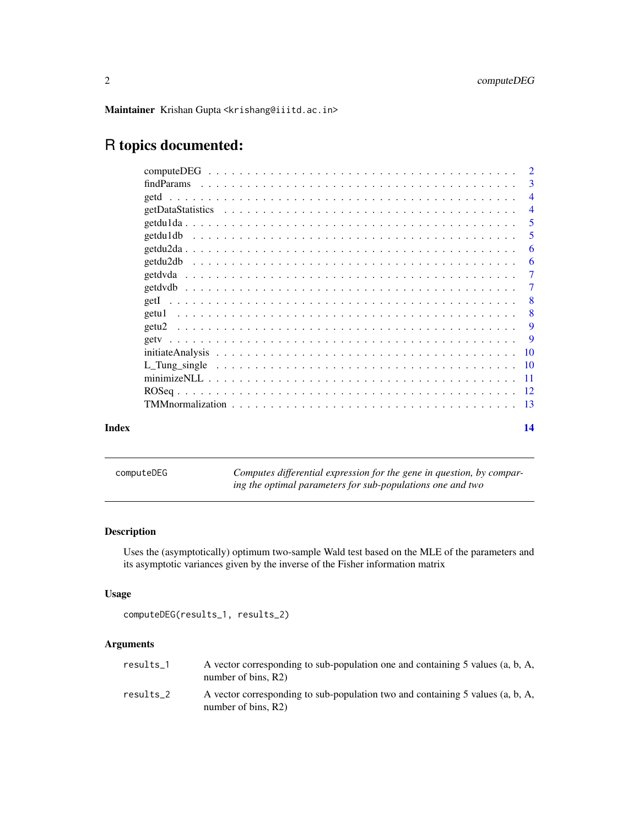<span id="page-1-0"></span>Maintainer Krishan Gupta <krishang@iiitd.ac.in>

# R topics documented:

|       | findParams                                                                                                                                                                                                                                 | -3             |
|-------|--------------------------------------------------------------------------------------------------------------------------------------------------------------------------------------------------------------------------------------------|----------------|
|       |                                                                                                                                                                                                                                            | $\overline{4}$ |
|       |                                                                                                                                                                                                                                            | $\overline{4}$ |
|       |                                                                                                                                                                                                                                            | -5             |
|       | getdu1db<br>and the contract of the contract of the contract of the contract of the contract of the contract of the contract of the contract of the contract of the contract of the contract of the contract of the contract of the contra | -5             |
|       |                                                                                                                                                                                                                                            | -6             |
|       |                                                                                                                                                                                                                                            | -6             |
|       |                                                                                                                                                                                                                                            | -7             |
|       |                                                                                                                                                                                                                                            | $\overline{7}$ |
|       |                                                                                                                                                                                                                                            | - 8            |
|       | getu1                                                                                                                                                                                                                                      | -8             |
|       | getu <sub>2</sub>                                                                                                                                                                                                                          |                |
|       |                                                                                                                                                                                                                                            |                |
|       |                                                                                                                                                                                                                                            |                |
|       |                                                                                                                                                                                                                                            |                |
|       |                                                                                                                                                                                                                                            |                |
|       |                                                                                                                                                                                                                                            |                |
|       |                                                                                                                                                                                                                                            |                |
| Index |                                                                                                                                                                                                                                            | 14             |

computeDEG *Computes differential expression for the gene in question, by comparing the optimal parameters for sub-populations one and two*

# Description

Uses the (asymptotically) optimum two-sample Wald test based on the MLE of the parameters and its asymptotic variances given by the inverse of the Fisher information matrix

# Usage

```
computeDEG(results_1, results_2)
```
# Arguments

| results 1 | A vector corresponding to sub-population one and containing 5 values (a, b, A,<br>number of bins, $R2$ ) |
|-----------|----------------------------------------------------------------------------------------------------------|
| results 2 | A vector corresponding to sub-population two and containing 5 values (a, b, A,<br>number of bins, $R2$ ) |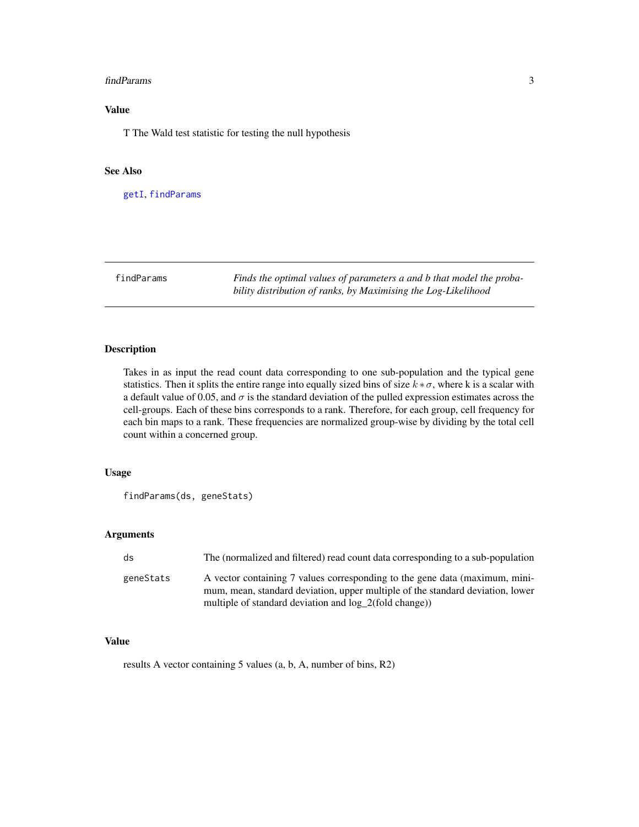#### <span id="page-2-0"></span>findParams 3

# Value

T The Wald test statistic for testing the null hypothesis

# See Also

[getI](#page-7-1), [findParams](#page-2-1)

<span id="page-2-1"></span>findParams *Finds the optimal values of parameters a and b that model the probability distribution of ranks, by Maximising the Log-Likelihood*

# Description

Takes in as input the read count data corresponding to one sub-population and the typical gene statistics. Then it splits the entire range into equally sized bins of size  $k * \sigma$ , where k is a scalar with a default value of 0.05, and  $\sigma$  is the standard deviation of the pulled expression estimates across the cell-groups. Each of these bins corresponds to a rank. Therefore, for each group, cell frequency for each bin maps to a rank. These frequencies are normalized group-wise by dividing by the total cell count within a concerned group.

# Usage

findParams(ds, geneStats)

# Arguments

| ds        | The (normalized and filtered) read count data corresponding to a sub-population                                                                               |
|-----------|---------------------------------------------------------------------------------------------------------------------------------------------------------------|
| geneStats | A vector containing 7 values corresponding to the gene data (maximum, mini-<br>mum, mean, standard deviation, upper multiple of the standard deviation, lower |
|           | multiple of standard deviation and log_2(fold change))                                                                                                        |

### Value

results A vector containing 5 values (a, b, A, number of bins, R2)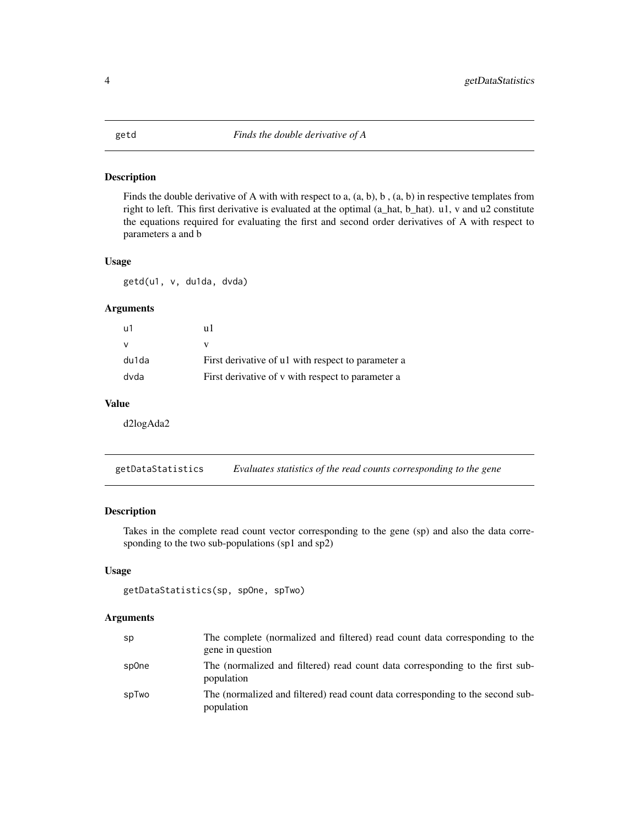<span id="page-3-0"></span>

Finds the double derivative of A with with respect to a, (a, b), b , (a, b) in respective templates from right to left. This first derivative is evaluated at the optimal (a\_hat, b\_hat). u1, v and u2 constitute the equations required for evaluating the first and second order derivatives of A with respect to parameters a and b

#### Usage

getd(u1, v, du1da, dvda)

#### Arguments

| u1    | пl                                                 |
|-------|----------------------------------------------------|
| v     |                                                    |
| du1da | First derivative of u1 with respect to parameter a |
| dvda  | First derivative of v with respect to parameter a  |

# Value

d2logAda2

getDataStatistics *Evaluates statistics of the read counts corresponding to the gene*

# Description

Takes in the complete read count vector corresponding to the gene (sp) and also the data corresponding to the two sub-populations (sp1 and sp2)

#### Usage

```
getDataStatistics(sp, spOne, spTwo)
```
#### Arguments

| sp    | The complete (normalized and filtered) read count data corresponding to the<br>gene in question |
|-------|-------------------------------------------------------------------------------------------------|
| sp0ne | The (normalized and filtered) read count data corresponding to the first sub-<br>population     |
| spTwo | The (normalized and filtered) read count data corresponding to the second sub-<br>population    |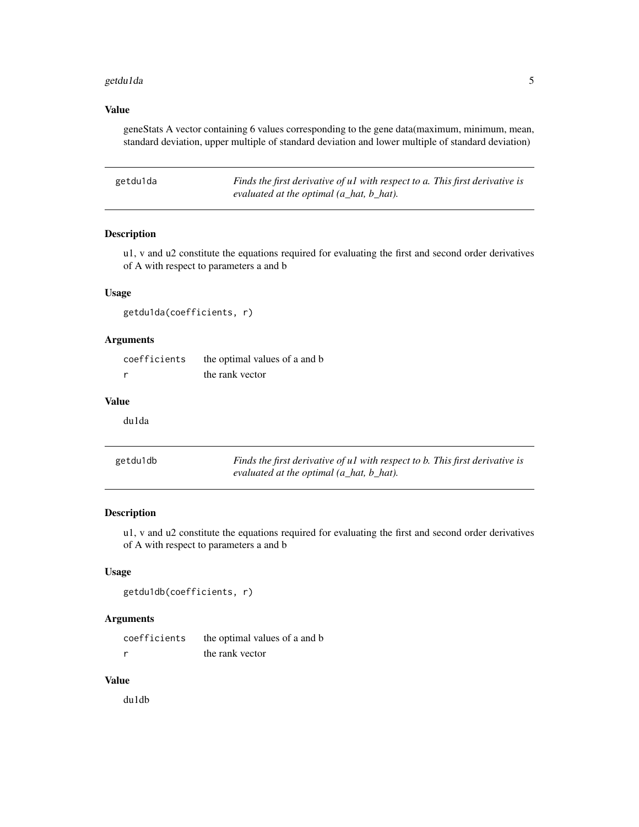#### <span id="page-4-0"></span>getdu1da 5 5 km s = 5 5 km s = 5 5 km s = 5 5 km s = 5 5 km s = 5 5 km s = 5 5 km s = 5 5 km s = 5 5 km s = 5

# Value

geneStats A vector containing 6 values corresponding to the gene data(maximum, minimum, mean, standard deviation, upper multiple of standard deviation and lower multiple of standard deviation)

| getdu1da | Finds the first derivative of ul with respect to a. This first derivative is |
|----------|------------------------------------------------------------------------------|
|          | evaluated at the optimal $(a$ <sub>-</sub> hat, $b$ <sub>-</sub> hat).       |

### Description

u1, v and u2 constitute the equations required for evaluating the first and second order derivatives of A with respect to parameters a and b

# Usage

getdu1da(coefficients, r)

# Arguments

| coefficients | the optimal values of a and b |
|--------------|-------------------------------|
|              | the rank vector               |

# Value

du1da

| getdu1db | Finds the first derivative of ul with respect to b. This first derivative is |
|----------|------------------------------------------------------------------------------|
|          | evaluated at the optimal (a_hat, b_hat).                                     |

# Description

u1, v and u2 constitute the equations required for evaluating the first and second order derivatives of A with respect to parameters a and b

# Usage

```
getdu1db(coefficients, r)
```
# Arguments

| coefficients | the optimal values of a and b |
|--------------|-------------------------------|
|              | the rank vector               |

# Value

du1db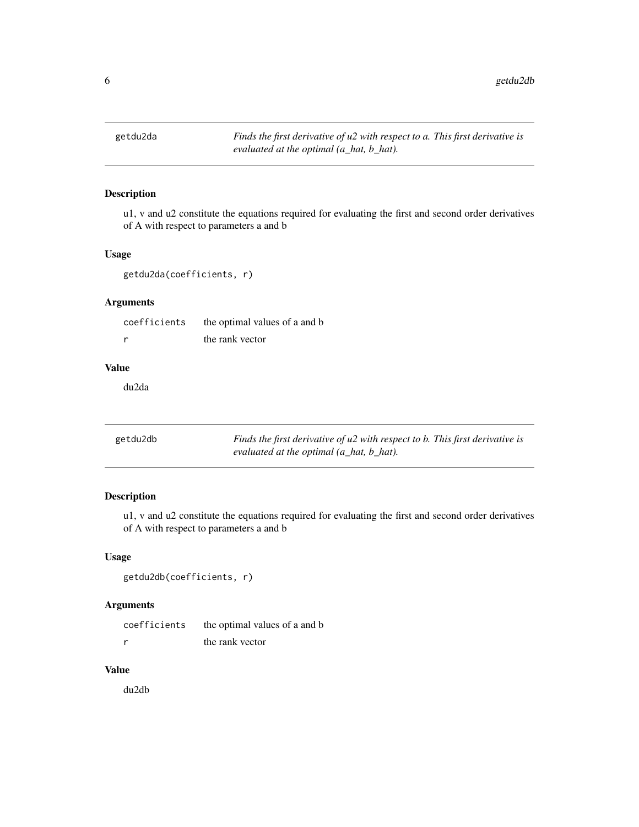<span id="page-5-0"></span>

u1, v and u2 constitute the equations required for evaluating the first and second order derivatives of A with respect to parameters a and b

# Usage

getdu2da(coefficients, r)

# Arguments

| coefficients | the optimal values of a and b |
|--------------|-------------------------------|
|              | the rank vector               |

# Value

du2da

| getdu2db | Finds the first derivative of u2 with respect to b. This first derivative is |
|----------|------------------------------------------------------------------------------|
|          | evaluated at the optimal (a_hat, b_hat).                                     |

# Description

u1, v and u2 constitute the equations required for evaluating the first and second order derivatives of A with respect to parameters a and b

# Usage

```
getdu2db(coefficients, r)
```
# Arguments

| coefficients | the optimal values of a and b |
|--------------|-------------------------------|
|              | the rank vector               |

# Value

du2db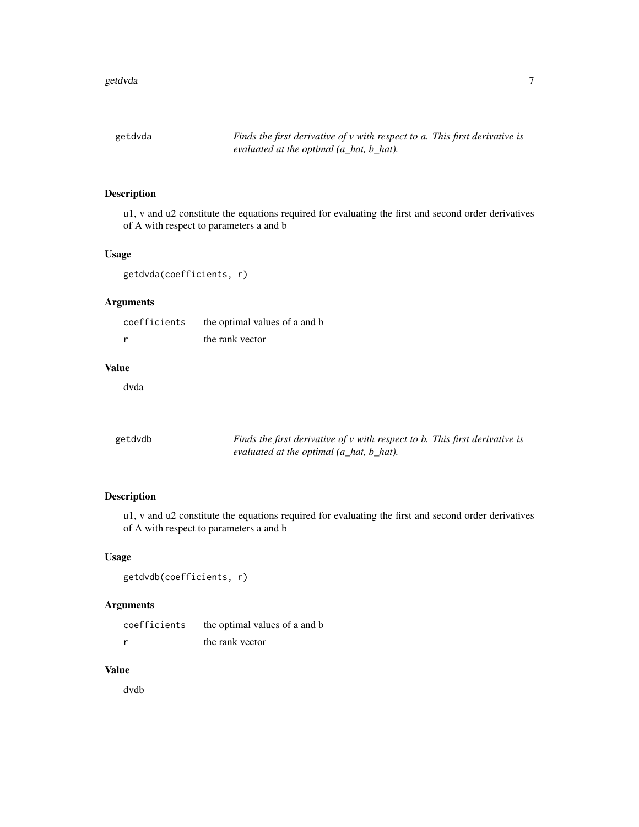<span id="page-6-0"></span>getdvda *Finds the first derivative of v with respect to a. This first derivative is evaluated at the optimal (a\_hat, b\_hat).*

# Description

u1, v and u2 constitute the equations required for evaluating the first and second order derivatives of A with respect to parameters a and b

# Usage

getdvda(coefficients, r)

# Arguments

| coefficients | the optimal values of a and b |
|--------------|-------------------------------|
|              | the rank vector               |

# Value

dvda

| getdvdb | Finds the first derivative of v with respect to b. This first derivative is |  |
|---------|-----------------------------------------------------------------------------|--|
|         | evaluated at the optimal $(a_1, b_2, b_3)$ .                                |  |

# Description

u1, v and u2 constitute the equations required for evaluating the first and second order derivatives of A with respect to parameters a and b

# Usage

```
getdvdb(coefficients, r)
```
# Arguments

| coefficients | the optimal values of a and b |
|--------------|-------------------------------|
|              | the rank vector               |

# Value

dvdb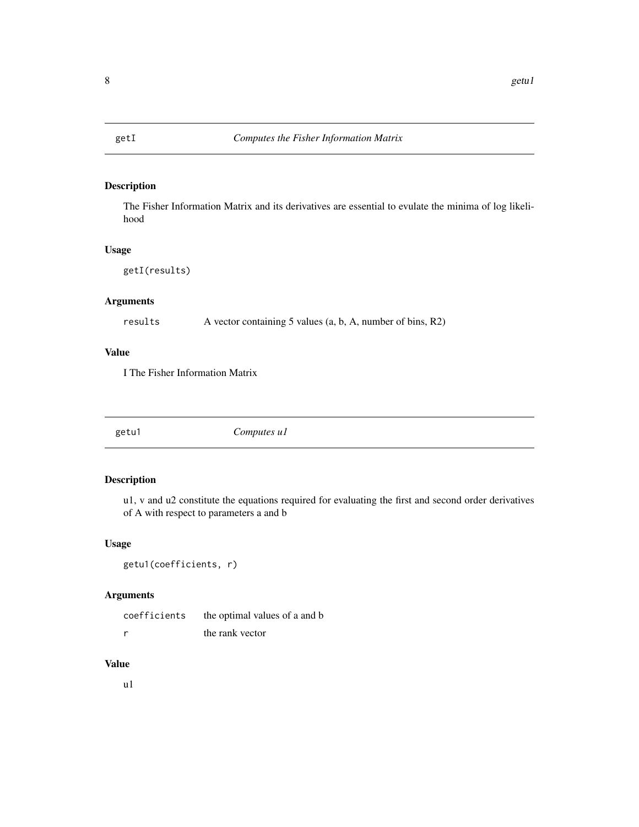<span id="page-7-1"></span><span id="page-7-0"></span>

The Fisher Information Matrix and its derivatives are essential to evulate the minima of log likelihood

# Usage

getI(results)

# Arguments

results A vector containing 5 values (a, b, A, number of bins, R2)

# Value

I The Fisher Information Matrix

getu1 *Computes u1*

# Description

u1, v and u2 constitute the equations required for evaluating the first and second order derivatives of A with respect to parameters a and b

# Usage

getu1(coefficients, r)

# Arguments

| coefficients | the optimal values of a and b |
|--------------|-------------------------------|
| - r          | the rank vector               |

# Value

u1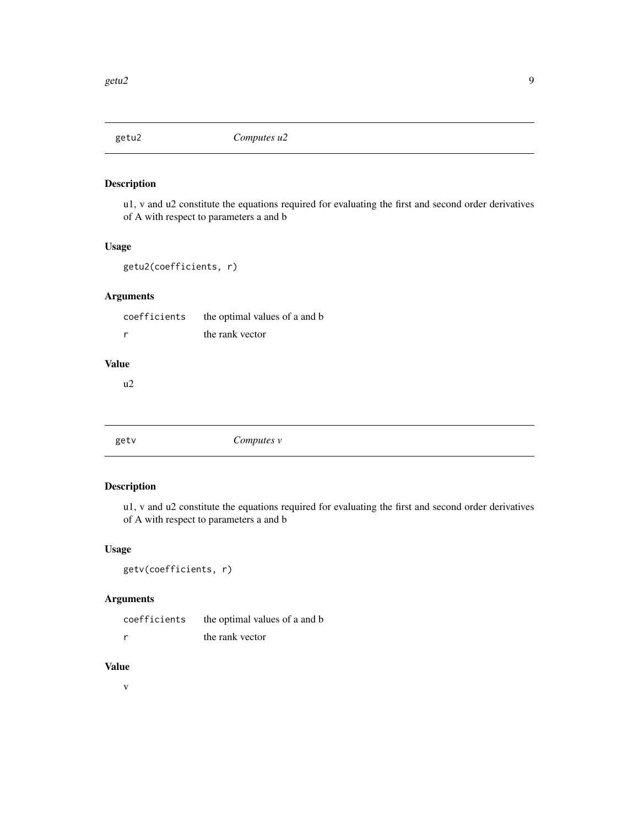<span id="page-8-0"></span>

u1, v and u2 constitute the equations required for evaluating the first and second order derivatives of A with respect to parameters a and b

# Usage

```
getu2(coefficients, r)
```
# Arguments

| coefficients | the optimal values of a and b |
|--------------|-------------------------------|
|              | the rank vector               |

# Value

u2

getv *Computes v*

# Description

u1, v and u2 constitute the equations required for evaluating the first and second order derivatives of A with respect to parameters a and b

# Usage

```
getv(coefficients, r)
```
# Arguments

| coefficients | the optimal values of a and b |
|--------------|-------------------------------|
|              | the rank vector               |

# Value

v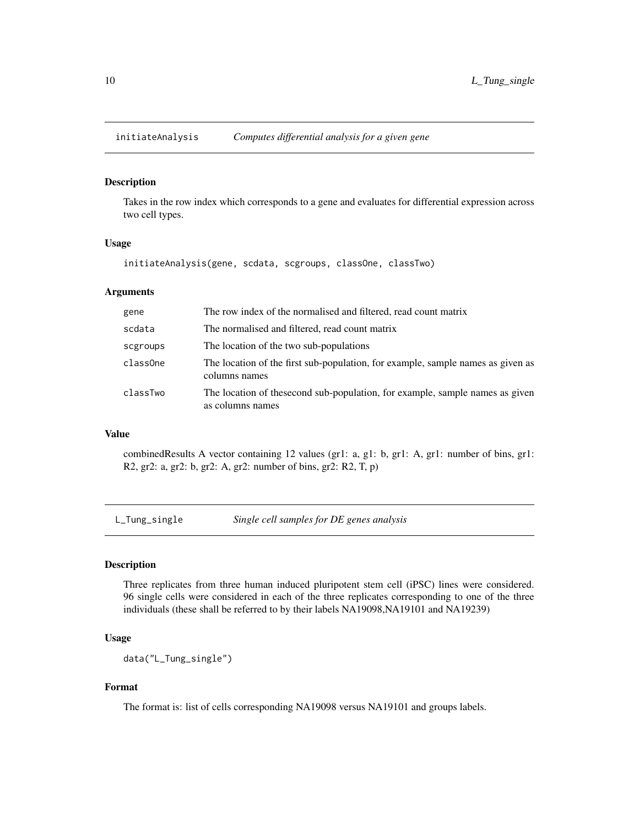<span id="page-9-0"></span>

Takes in the row index which corresponds to a gene and evaluates for differential expression across two cell types.

#### Usage

initiateAnalysis(gene, scdata, scgroups, classOne, classTwo)

# Arguments

| gene     | The row index of the normalised and filtered, read count matrix                                  |
|----------|--------------------------------------------------------------------------------------------------|
| scdata   | The normalised and filtered, read count matrix                                                   |
| scgroups | The location of the two sub-populations                                                          |
| classOne | The location of the first sub-population, for example, sample names as given as<br>columns names |
| classTwo | The location of thesecond sub-population, for example, sample names as given<br>as columns names |

#### Value

combinedResults A vector containing 12 values (gr1: a, g1: b, gr1: A, gr1: number of bins, gr1: R2, gr2: a, gr2: b, gr2: A, gr2: number of bins, gr2: R2, T, p)

L\_Tung\_single *Single cell samples for DE genes analysis*

#### Description

Three replicates from three human induced pluripotent stem cell (iPSC) lines were considered. 96 single cells were considered in each of the three replicates corresponding to one of the three individuals (these shall be referred to by their labels NA19098,NA19101 and NA19239)

# Usage

data("L\_Tung\_single")

# Format

The format is: list of cells corresponding NA19098 versus NA19101 and groups labels.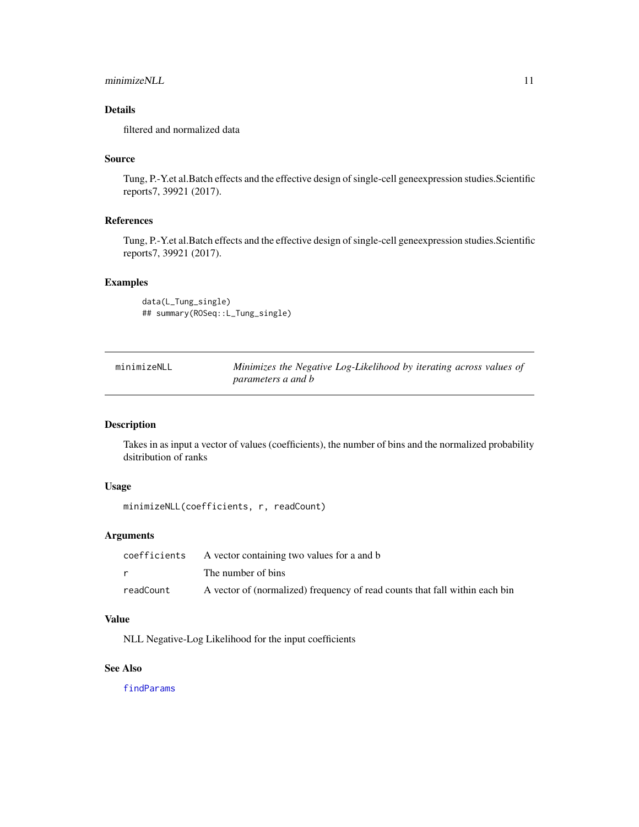# <span id="page-10-0"></span>minimizeNLL 11

# Details

filtered and normalized data

# Source

Tung, P.-Y.et al.Batch effects and the effective design of single-cell geneexpression studies.Scientific reports7, 39921 (2017).

# References

Tung, P.-Y.et al.Batch effects and the effective design of single-cell geneexpression studies.Scientific reports7, 39921 (2017).

# Examples

data(L\_Tung\_single) ## summary(ROSeq::L\_Tung\_single)

| minimizeNLL | Minimizes the Negative Log-Likelihood by iterating across values of |
|-------------|---------------------------------------------------------------------|
|             | parameters a and b                                                  |

# Description

Takes in as input a vector of values (coefficients), the number of bins and the normalized probability dsitribution of ranks

# Usage

minimizeNLL(coefficients, r, readCount)

# Arguments

|           | coefficients A vector containing two values for a and b                     |
|-----------|-----------------------------------------------------------------------------|
|           | The number of bins                                                          |
| readCount | A vector of (normalized) frequency of read counts that fall within each bin |

# Value

NLL Negative-Log Likelihood for the input coefficients

# See Also

[findParams](#page-2-1)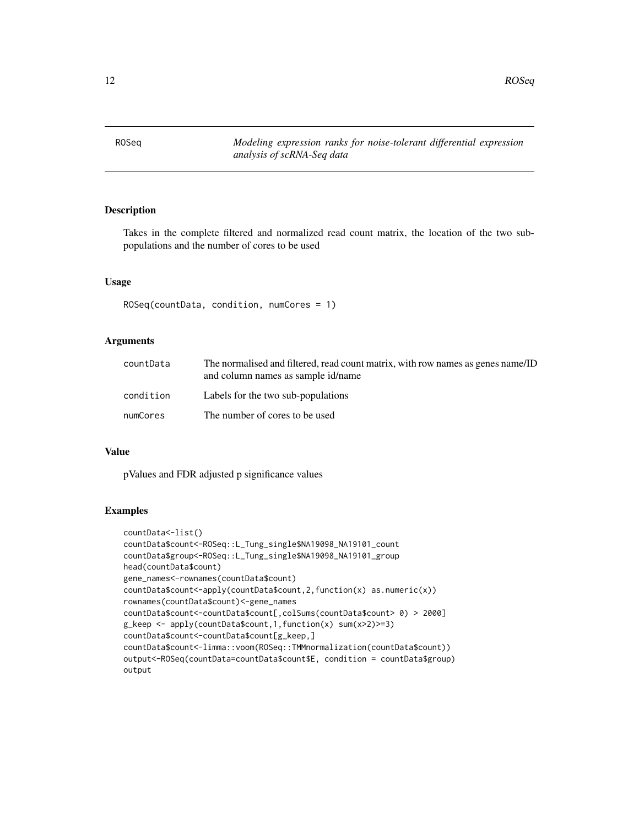<span id="page-11-0"></span>ROSeq *Modeling expression ranks for noise-tolerant differential expression analysis of scRNA-Seq data*

# Description

Takes in the complete filtered and normalized read count matrix, the location of the two subpopulations and the number of cores to be used

# Usage

```
ROSeq(countData, condition, numCores = 1)
```
#### **Arguments**

| countData | The normalised and filtered, read count matrix, with row names as genes name/ID<br>and column names as sample id/name |
|-----------|-----------------------------------------------------------------------------------------------------------------------|
| condition | Labels for the two sub-populations                                                                                    |
| numCores  | The number of cores to be used                                                                                        |

# Value

pValues and FDR adjusted p significance values

# Examples

```
countData<-list()
countData$count<-ROSeq::L_Tung_single$NA19098_NA19101_count
countData$group<-ROSeq::L_Tung_single$NA19098_NA19101_group
head(countData$count)
gene_names<-rownames(countData$count)
countData$count<-apply(countData$count,2,function(x) as.numeric(x))
rownames(countData$count)<-gene_names
countData$count<-countData$count[,colSums(countData$count> 0) > 2000]
g_keep <- apply(countData$count,1,function(x) sum(x>2)>=3)
countData$count<-countData$count[g_keep,]
countData$count<-limma::voom(ROSeq::TMMnormalization(countData$count))
output<-ROSeq(countData=countData$count$E, condition = countData$group)
output
```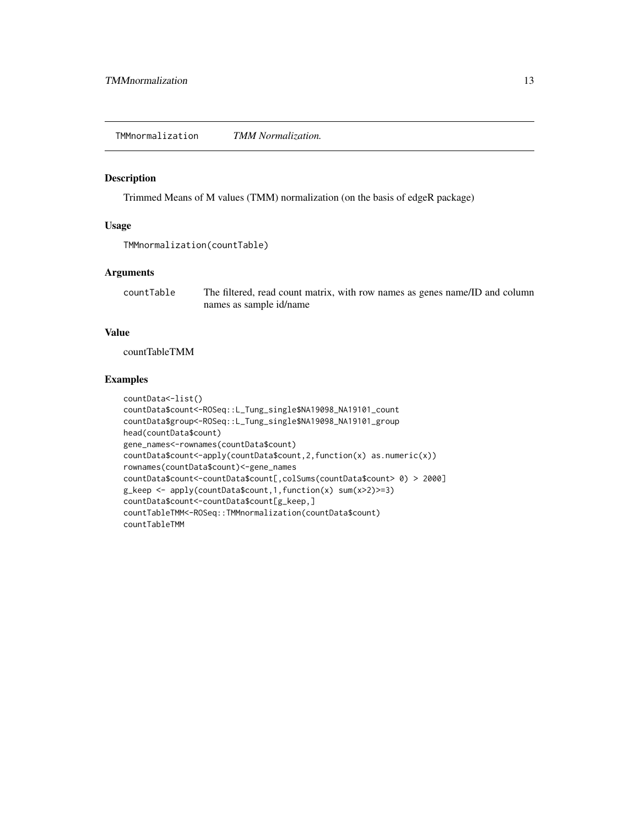<span id="page-12-0"></span>TMMnormalization *TMM Normalization.*

# Description

Trimmed Means of M values (TMM) normalization (on the basis of edgeR package)

#### Usage

```
TMMnormalization(countTable)
```
# Arguments

countTable The filtered, read count matrix, with row names as genes name/ID and column names as sample id/name

# Value

countTableTMM

# Examples

```
countData<-list()
countData$count<-ROSeq::L_Tung_single$NA19098_NA19101_count
countData$group<-ROSeq::L_Tung_single$NA19098_NA19101_group
head(countData$count)
gene_names<-rownames(countData$count)
countData$count<-apply(countData$count,2,function(x) as.numeric(x))
rownames(countData$count)<-gene_names
countData$count<-countData$count[,colSums(countData$count> 0) > 2000]
g_keep <- apply(countData$count,1,function(x) sum(x>2)>=3)
countData$count<-countData$count[g_keep,]
countTableTMM<-ROSeq::TMMnormalization(countData$count)
countTableTMM
```